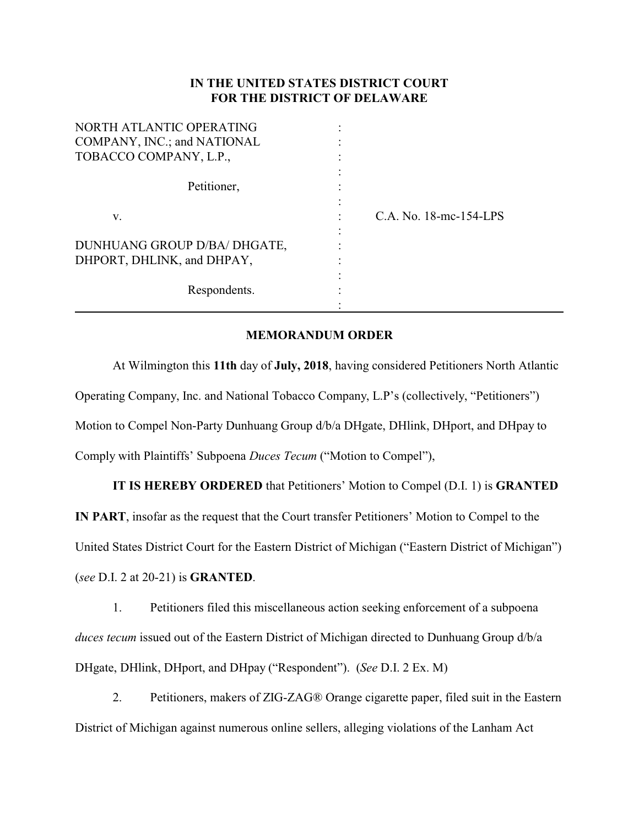## **IN THE UNITED STATES DISTRICT COURT FOR THE DISTRICT OF DELAWARE**

| NORTH ATLANTIC OPERATING     |                        |
|------------------------------|------------------------|
| COMPANY, INC.; and NATIONAL  |                        |
| TOBACCO COMPANY, L.P.,       |                        |
|                              |                        |
| Petitioner,                  |                        |
|                              |                        |
| V.                           | C.A. No. 18-mc-154-LPS |
|                              |                        |
| DUNHUANG GROUP D/BA/ DHGATE, |                        |
| DHPORT, DHLINK, and DHPAY,   |                        |
|                              |                        |
| Respondents.                 |                        |
|                              |                        |

## **MEMORANDUM ORDER**

At Wilmington this **11th** day of **July, 2018**, having considered Petitioners North Atlantic Operating Company, Inc. and National Tobacco Company, L.P's (collectively, "Petitioners") Motion to Compel Non-Party Dunhuang Group d/b/a DHgate, DHlink, DHport, and DHpay to Comply with Plaintiffs' Subpoena *Duces Tecum* ("Motion to Compel"),

**IT IS HEREBY ORDERED** that Petitioners' Motion to Compel (D.I. 1) is **GRANTED IN PART**, insofar as the request that the Court transfer Petitioners' Motion to Compel to the United States District Court for the Eastern District of Michigan ("Eastern District of Michigan")

(*see* D.I. 2 at 20-21) is **GRANTED**.

1. Petitioners filed this miscellaneous action seeking enforcement of a subpoena *duces tecum* issued out of the Eastern District of Michigan directed to Dunhuang Group d/b/a DHgate, DHlink, DHport, and DHpay ("Respondent"). (*See* D.I. 2 Ex. M)

2. Petitioners, makers of ZIG-ZAG® Orange cigarette paper, filed suit in the Eastern District of Michigan against numerous online sellers, alleging violations of the Lanham Act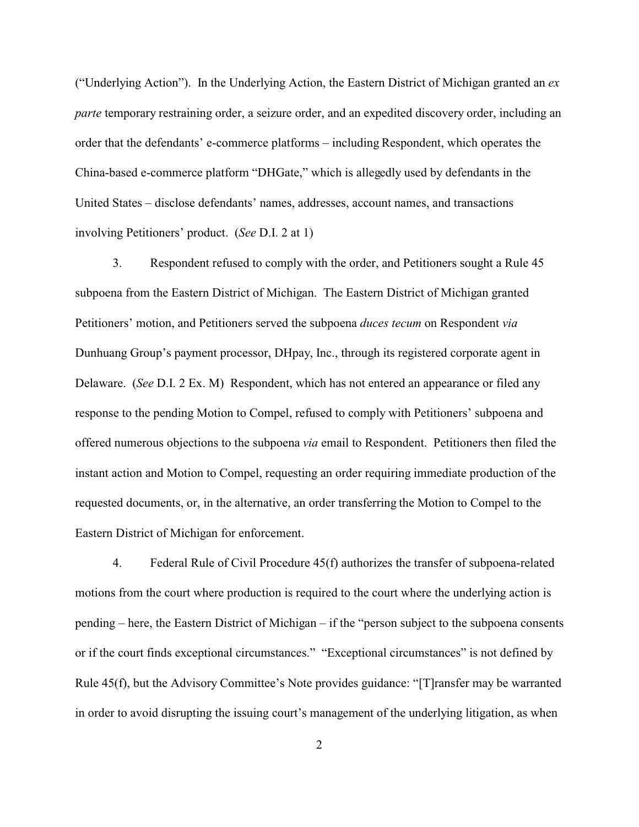("Underlying Action"). In the Underlying Action, the Eastern District of Michigan granted an *ex parte* temporary restraining order, a seizure order, and an expedited discovery order, including an order that the defendants' e-commerce platforms – including Respondent, which operates the China-based e-commerce platform "DHGate," which is allegedly used by defendants in the United States – disclose defendants' names, addresses, account names, and transactions involving Petitioners' product. (*See* D.I. 2 at 1)

3. Respondent refused to comply with the order, and Petitioners sought a Rule 45 subpoena from the Eastern District of Michigan. The Eastern District of Michigan granted Petitioners' motion, and Petitioners served the subpoena *duces tecum* on Respondent *via* Dunhuang Group's payment processor, DHpay, Inc., through its registered corporate agent in Delaware. (*See* D.I. 2 Ex. M) Respondent, which has not entered an appearance or filed any response to the pending Motion to Compel, refused to comply with Petitioners' subpoena and offered numerous objections to the subpoena *via* email to Respondent. Petitioners then filed the instant action and Motion to Compel, requesting an order requiring immediate production of the requested documents, or, in the alternative, an order transferring the Motion to Compel to the Eastern District of Michigan for enforcement.

4. Federal Rule of Civil Procedure 45(f) authorizes the transfer of subpoena-related motions from the court where production is required to the court where the underlying action is pending – here, the Eastern District of Michigan – if the "person subject to the subpoena consents or if the court finds exceptional circumstances." "Exceptional circumstances" is not defined by Rule 45(f), but the Advisory Committee's Note provides guidance: "[T]ransfer may be warranted in order to avoid disrupting the issuing court's management of the underlying litigation, as when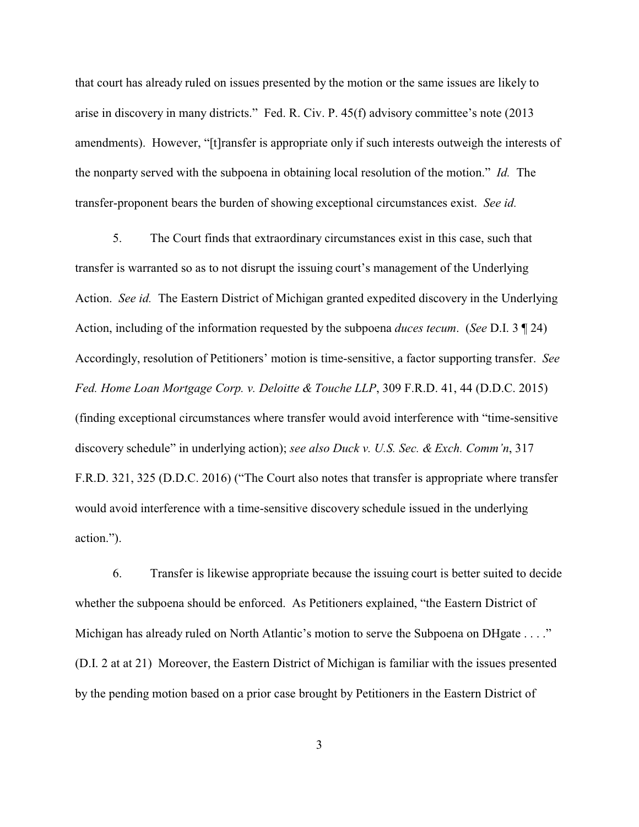that court has already ruled on issues presented by the motion or the same issues are likely to arise in discovery in many districts." Fed. R. Civ. P. 45(f) advisory committee's note (2013 amendments). However, "[t]ransfer is appropriate only if such interests outweigh the interests of the nonparty served with the subpoena in obtaining local resolution of the motion." *Id.* The transfer-proponent bears the burden of showing exceptional circumstances exist. *See id.*

5. The Court finds that extraordinary circumstances exist in this case, such that transfer is warranted so as to not disrupt the issuing court's management of the Underlying Action. *See id.* The Eastern District of Michigan granted expedited discovery in the Underlying Action, including of the information requested by the subpoena *duces tecum*. (*See* D.I. 3 ¶ 24) Accordingly, resolution of Petitioners' motion is time-sensitive, a factor supporting transfer. *See Fed. Home Loan Mortgage Corp. v. Deloitte & Touche LLP*, 309 F.R.D. 41, 44 (D.D.C. 2015) (finding exceptional circumstances where transfer would avoid interference with "time-sensitive discovery schedule" in underlying action); *see also Duck v. U.S. Sec. & Exch. Comm'n*, 317 F.R.D. 321, 325 (D.D.C. 2016) ("The Court also notes that transfer is appropriate where transfer would avoid interference with a time-sensitive discovery schedule issued in the underlying action.").

6. Transfer is likewise appropriate because the issuing court is better suited to decide whether the subpoena should be enforced. As Petitioners explained, "the Eastern District of Michigan has already ruled on North Atlantic's motion to serve the Subpoena on DHgate . . . ." (D.I. 2 at at 21) Moreover, the Eastern District of Michigan is familiar with the issues presented by the pending motion based on a prior case brought by Petitioners in the Eastern District of

3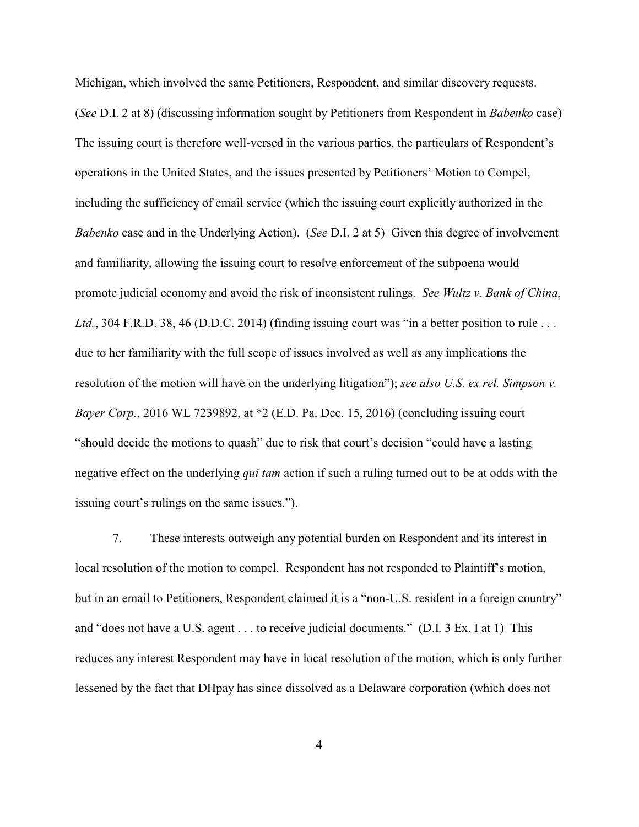Michigan, which involved the same Petitioners, Respondent, and similar discovery requests. (*See* D.I. 2 at 8) (discussing information sought by Petitioners from Respondent in *Babenko* case) The issuing court is therefore well-versed in the various parties, the particulars of Respondent's operations in the United States, and the issues presented by Petitioners' Motion to Compel, including the sufficiency of email service (which the issuing court explicitly authorized in the *Babenko* case and in the Underlying Action). (*See* D.I. 2 at 5) Given this degree of involvement and familiarity, allowing the issuing court to resolve enforcement of the subpoena would promote judicial economy and avoid the risk of inconsistent rulings. *See Wultz v. Bank of China,* Ltd., 304 F.R.D. 38, 46 (D.D.C. 2014) (finding issuing court was "in a better position to rule ... due to her familiarity with the full scope of issues involved as well as any implications the resolution of the motion will have on the underlying litigation"); *see also U.S. ex rel. Simpson v. Bayer Corp.*, 2016 WL 7239892, at \*2 (E.D. Pa. Dec. 15, 2016) (concluding issuing court "should decide the motions to quash" due to risk that court's decision "could have a lasting negative effect on the underlying *qui tam* action if such a ruling turned out to be at odds with the issuing court's rulings on the same issues.").

7. These interests outweigh any potential burden on Respondent and its interest in local resolution of the motion to compel. Respondent has not responded to Plaintiff's motion, but in an email to Petitioners, Respondent claimed it is a "non-U.S. resident in a foreign country" and "does not have a U.S. agent . . . to receive judicial documents." (D.I. 3 Ex. I at 1) This reduces any interest Respondent may have in local resolution of the motion, which is only further lessened by the fact that DHpay has since dissolved as a Delaware corporation (which does not

4